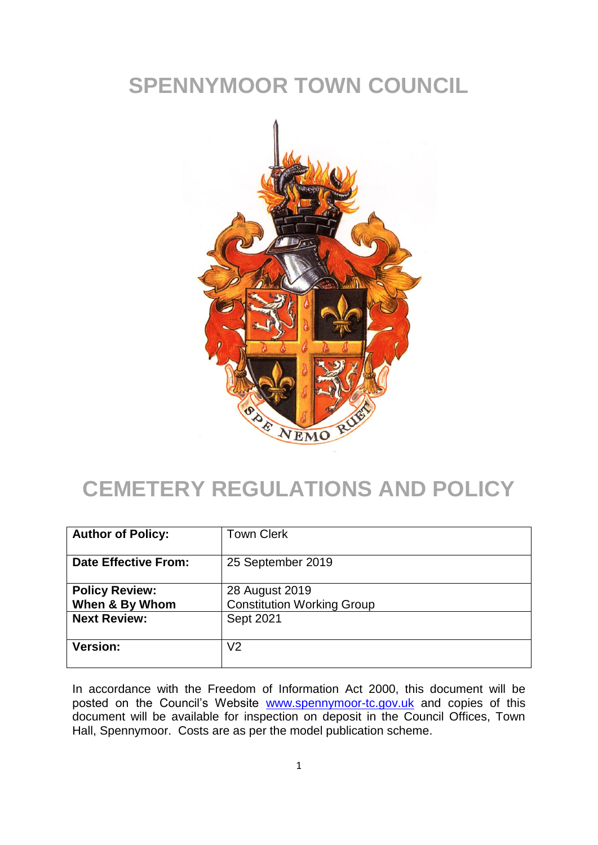## **SPENNYMOOR TOWN COUNCIL**



# **CEMETERY REGULATIONS AND POLICY**

| <b>Author of Policy:</b>                | <b>Town Clerk</b>                                   |
|-----------------------------------------|-----------------------------------------------------|
| <b>Date Effective From:</b>             | 25 September 2019                                   |
| <b>Policy Review:</b><br>When & By Whom | 28 August 2019<br><b>Constitution Working Group</b> |
| <b>Next Review:</b>                     | Sept 2021                                           |
| <b>Version:</b>                         | V <sub>2</sub>                                      |

In accordance with the Freedom of Information Act 2000, this document will be posted on the Council's Website [www.spennymoor-tc.gov.uk](http://www.spennymoor-tc.gov.uk/) and copies of this document will be available for inspection on deposit in the Council Offices, Town Hall, Spennymoor. Costs are as per the model publication scheme.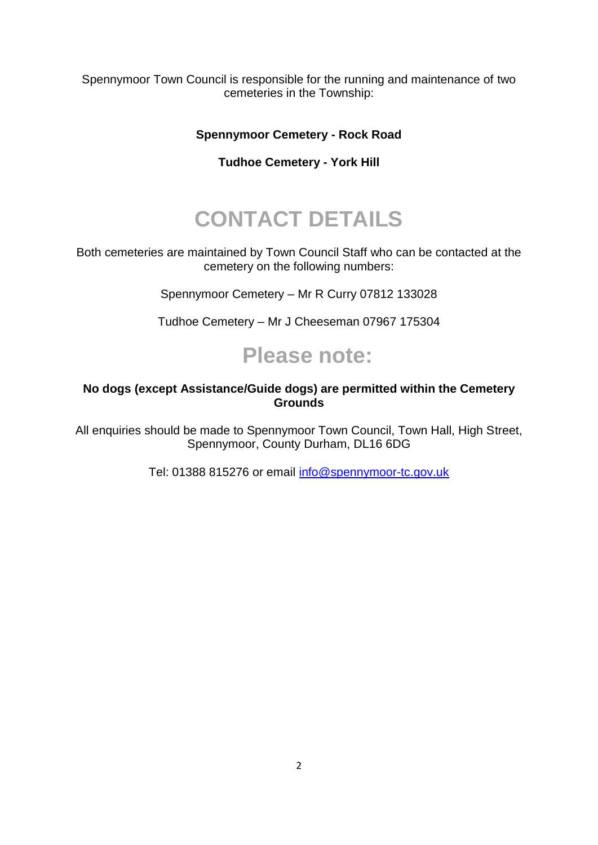Spennymoor Town Council is responsible for the running and maintenance of two cemeteries in the Township:

#### **Spennymoor Cemetery - Rock Road**

#### **Tudhoe Cemetery - York Hill**

# **CONTACT DETAILS**

Both cemeteries are maintained by Town Council Staff who can be contacted at the cemetery on the following numbers:

Spennymoor Cemetery – Mr R Curry 07812 133028

Tudhoe Cemetery – Mr J Cheeseman 07967 175304

## **Please note:**

#### **No dogs (except Assistance/Guide dogs) are permitted within the Cemetery Grounds**

All enquiries should be made to Spennymoor Town Council, Town Hall, High Street, Spennymoor, County Durham, DL16 6DG

Tel: 01388 815276 or email [info@spennymoor-tc.gov.uk](mailto:info@spennymoor-tc.gov.uk)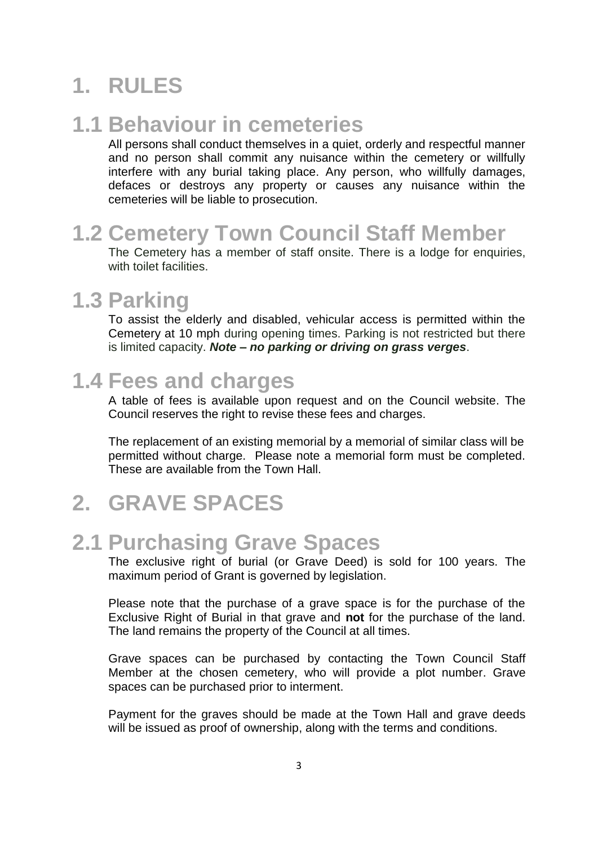# **1. RULES**

## **1.1 Behaviour in cemeteries**

All persons shall conduct themselves in a quiet, orderly and respectful manner and no person shall commit any nuisance within the cemetery or willfully interfere with any burial taking place. Any person, who willfully damages, defaces or destroys any property or causes any nuisance within the cemeteries will be liable to prosecution.

## **1.2 Cemetery Town Council Staff Member**

The Cemetery has a member of staff onsite. There is a lodge for enquiries, with toilet facilities.

## **1.3 Parking**

To assist the elderly and disabled, vehicular access is permitted within the Cemetery at 10 mph during opening times. Parking is not restricted but there is limited capacity. *Note – no parking or driving on grass verges*.

### **1.4 Fees and charges**

A table of fees is available upon request and on the Council website. The Council reserves the right to revise these fees and charges.

The replacement of an existing memorial by a memorial of similar class will be permitted without charge. Please note a memorial form must be completed. These are available from the Town Hall.

## **2. GRAVE SPACES**

#### **2.1 Purchasing Grave Spaces**

The exclusive right of burial (or Grave Deed) is sold for 100 years. The maximum period of Grant is governed by legislation.

Please note that the purchase of a grave space is for the purchase of the Exclusive Right of Burial in that grave and **not** for the purchase of the land. The land remains the property of the Council at all times.

Grave spaces can be purchased by contacting the Town Council Staff Member at the chosen cemetery, who will provide a plot number. Grave spaces can be purchased prior to interment.

Payment for the graves should be made at the Town Hall and grave deeds will be issued as proof of ownership, along with the terms and conditions.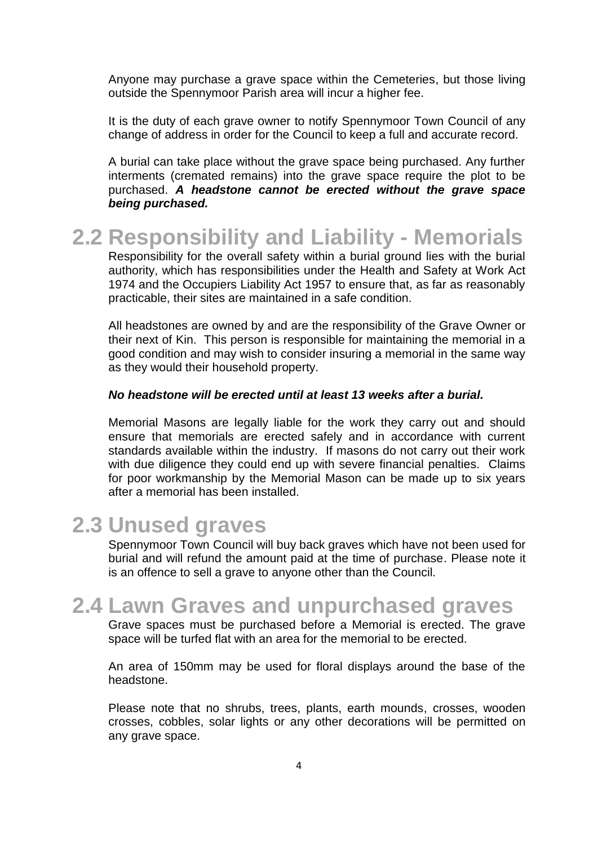Anyone may purchase a grave space within the Cemeteries, but those living outside the Spennymoor Parish area will incur a higher fee.

It is the duty of each grave owner to notify Spennymoor Town Council of any change of address in order for the Council to keep a full and accurate record.

A burial can take place without the grave space being purchased. Any further interments (cremated remains) into the grave space require the plot to be purchased. *A headstone cannot be erected without the grave space being purchased.*

## **2.2 Responsibility and Liability - Memorials**

Responsibility for the overall safety within a burial ground lies with the burial authority, which has responsibilities under the Health and Safety at Work Act 1974 and the Occupiers Liability Act 1957 to ensure that, as far as reasonably practicable, their sites are maintained in a safe condition.

All headstones are owned by and are the responsibility of the Grave Owner or their next of Kin. This person is responsible for maintaining the memorial in a good condition and may wish to consider insuring a memorial in the same way as they would their household property.

#### *No headstone will be erected until at least 13 weeks after a burial.*

Memorial Masons are legally liable for the work they carry out and should ensure that memorials are erected safely and in accordance with current standards available within the industry. If masons do not carry out their work with due diligence they could end up with severe financial penalties. Claims for poor workmanship by the Memorial Mason can be made up to six years after a memorial has been installed.

#### **2.3 Unused graves**

Spennymoor Town Council will buy back graves which have not been used for burial and will refund the amount paid at the time of purchase. Please note it is an offence to sell a grave to anyone other than the Council.

#### **2.4 Lawn Graves and unpurchased graves**

Grave spaces must be purchased before a Memorial is erected. The grave space will be turfed flat with an area for the memorial to be erected.

An area of 150mm may be used for floral displays around the base of the headstone.

Please note that no shrubs, trees, plants, earth mounds, crosses, wooden crosses, cobbles, solar lights or any other decorations will be permitted on any grave space.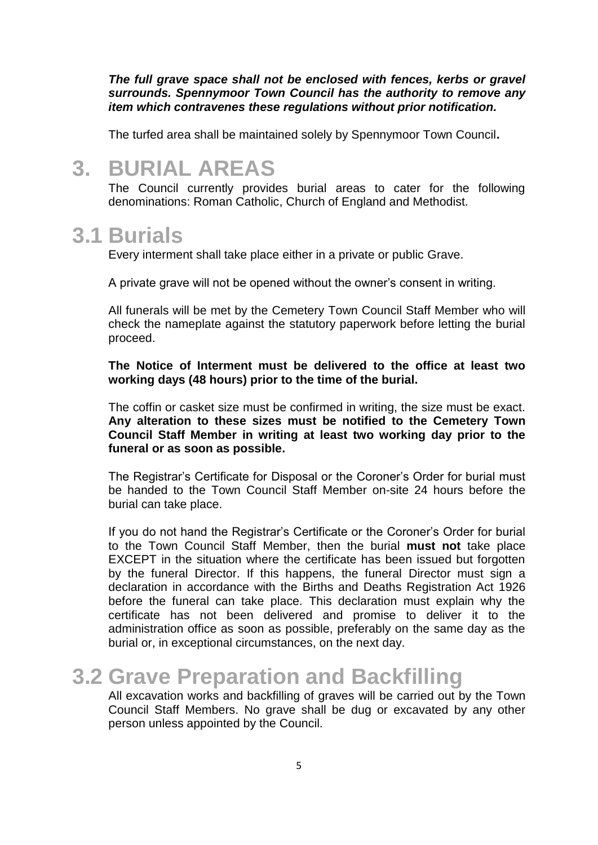*The full grave space shall not be enclosed with fences, kerbs or gravel surrounds. Spennymoor Town Council has the authority to remove any item which contravenes these regulations without prior notification.* 

The turfed area shall be maintained solely by Spennymoor Town Council**.**

#### **3. BURIAL AREAS**

The Council currently provides burial areas to cater for the following denominations: Roman Catholic, Church of England and Methodist.

#### **3.1 Burials**

Every interment shall take place either in a private or public Grave.

A private grave will not be opened without the owner's consent in writing.

All funerals will be met by the Cemetery Town Council Staff Member who will check the nameplate against the statutory paperwork before letting the burial proceed.

#### **The Notice of Interment must be delivered to the office at least two working days (48 hours) prior to the time of the burial.**

The coffin or casket size must be confirmed in writing, the size must be exact. **Any alteration to these sizes must be notified to the Cemetery Town Council Staff Member in writing at least two working day prior to the funeral or as soon as possible.** 

The Registrar's Certificate for Disposal or the Coroner's Order for burial must be handed to the Town Council Staff Member on-site 24 hours before the burial can take place.

If you do not hand the Registrar's Certificate or the Coroner's Order for burial to the Town Council Staff Member, then the burial **must not** take place EXCEPT in the situation where the certificate has been issued but forgotten by the funeral Director. If this happens, the funeral Director must sign a declaration in accordance with the Births and Deaths Registration Act 1926 before the funeral can take place. This declaration must explain why the certificate has not been delivered and promise to deliver it to the administration office as soon as possible, preferably on the same day as the burial or, in exceptional circumstances, on the next day.

#### **3.2 Grave Preparation and Backfilling**

All excavation works and backfilling of graves will be carried out by the Town Council Staff Members. No grave shall be dug or excavated by any other person unless appointed by the Council.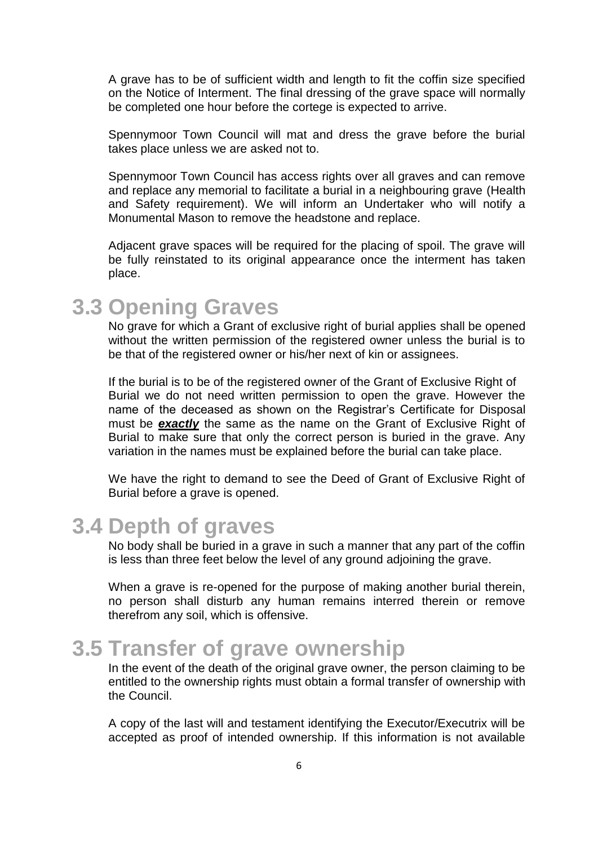A grave has to be of sufficient width and length to fit the coffin size specified on the Notice of Interment. The final dressing of the grave space will normally be completed one hour before the cortege is expected to arrive.

Spennymoor Town Council will mat and dress the grave before the burial takes place unless we are asked not to.

Spennymoor Town Council has access rights over all graves and can remove and replace any memorial to facilitate a burial in a neighbouring grave (Health and Safety requirement). We will inform an Undertaker who will notify a Monumental Mason to remove the headstone and replace.

Adjacent grave spaces will be required for the placing of spoil. The grave will be fully reinstated to its original appearance once the interment has taken place.

### **3.3 Opening Graves**

No grave for which a Grant of exclusive right of burial applies shall be opened without the written permission of the registered owner unless the burial is to be that of the registered owner or his/her next of kin or assignees.

If the burial is to be of the registered owner of the Grant of Exclusive Right of Burial we do not need written permission to open the grave. However the name of the deceased as shown on the Registrar's Certificate for Disposal must be *exactly* the same as the name on the Grant of Exclusive Right of Burial to make sure that only the correct person is buried in the grave. Any variation in the names must be explained before the burial can take place.

We have the right to demand to see the Deed of Grant of Exclusive Right of Burial before a grave is opened.

### **3.4 Depth of graves**

No body shall be buried in a grave in such a manner that any part of the coffin is less than three feet below the level of any ground adjoining the grave.

When a grave is re-opened for the purpose of making another burial therein, no person shall disturb any human remains interred therein or remove therefrom any soil, which is offensive.

#### **3.5 Transfer of grave ownership**

In the event of the death of the original grave owner, the person claiming to be entitled to the ownership rights must obtain a formal transfer of ownership with the Council.

A copy of the last will and testament identifying the Executor/Executrix will be accepted as proof of intended ownership. If this information is not available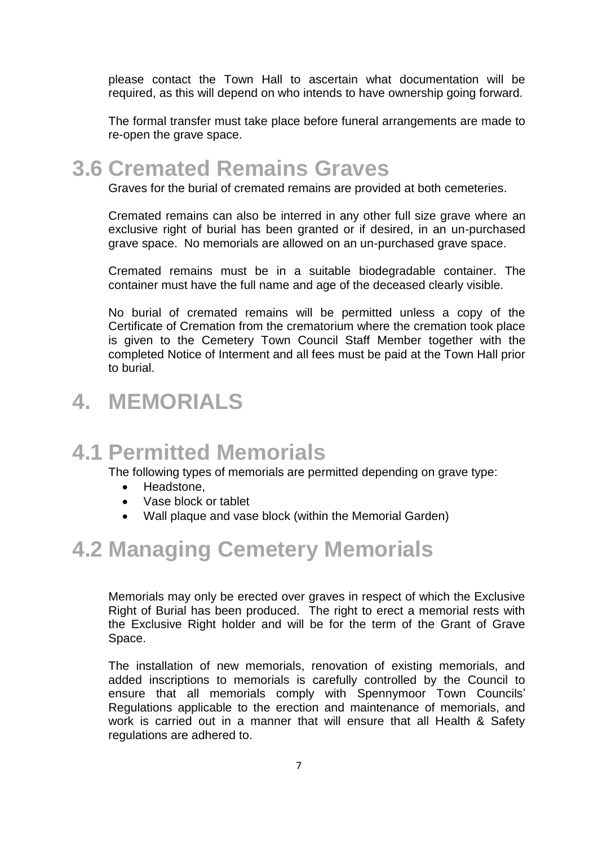please contact the Town Hall to ascertain what documentation will be required, as this will depend on who intends to have ownership going forward.

The formal transfer must take place before funeral arrangements are made to re-open the grave space.

### **3.6 Cremated Remains Graves**

Graves for the burial of cremated remains are provided at both cemeteries.

Cremated remains can also be interred in any other full size grave where an exclusive right of burial has been granted or if desired, in an un-purchased grave space. No memorials are allowed on an un-purchased grave space.

Cremated remains must be in a suitable biodegradable container. The container must have the full name and age of the deceased clearly visible.

No burial of cremated remains will be permitted unless a copy of the Certificate of Cremation from the crematorium where the cremation took place is given to the Cemetery Town Council Staff Member together with the completed Notice of Interment and all fees must be paid at the Town Hall prior to burial.

## **4. MEMORIALS**

## **4.1 Permitted Memorials**

The following types of memorials are permitted depending on grave type:

- Headstone,
- Vase block or tablet
- Wall plaque and vase block (within the Memorial Garden)

## **4.2 Managing Cemetery Memorials**

Memorials may only be erected over graves in respect of which the Exclusive Right of Burial has been produced. The right to erect a memorial rests with the Exclusive Right holder and will be for the term of the Grant of Grave Space.

The installation of new memorials, renovation of existing memorials, and added inscriptions to memorials is carefully controlled by the Council to ensure that all memorials comply with Spennymoor Town Councils' Regulations applicable to the erection and maintenance of memorials, and work is carried out in a manner that will ensure that all Health & Safety regulations are adhered to.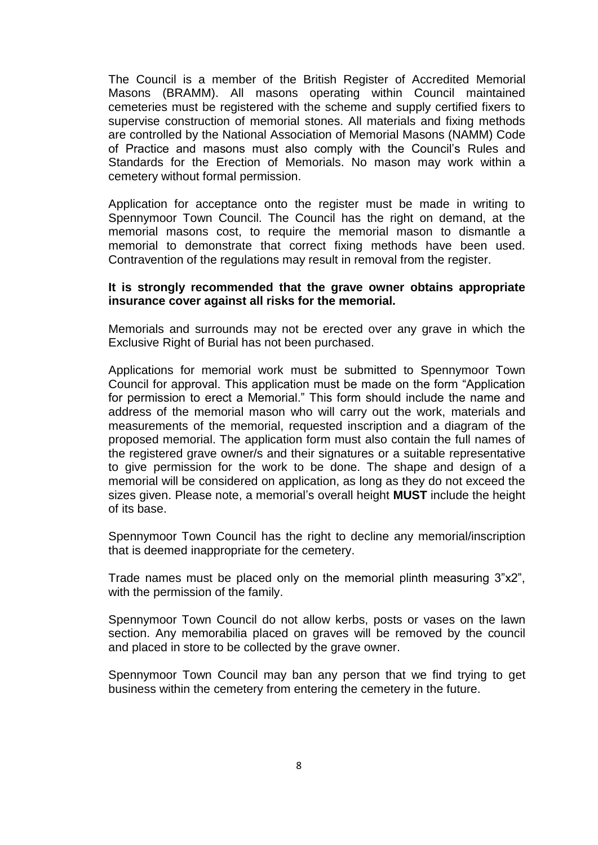The Council is a member of the British Register of Accredited Memorial Masons (BRAMM). All masons operating within Council maintained cemeteries must be registered with the scheme and supply certified fixers to supervise construction of memorial stones. All materials and fixing methods are controlled by the National Association of Memorial Masons (NAMM) Code of Practice and masons must also comply with the Council's [Rules and](http://www.bridgend.gov.uk/web/groups/public/documents/services/070406.hcsp)  [Standards for the Erection of](http://www.bridgend.gov.uk/web/groups/public/documents/services/070406.hcsp) Memorials. No mason may work within a cemetery without formal permission.

Application for acceptance onto the register must be made in writing to Spennymoor Town Council. The Council has the right on demand, at the memorial masons cost, to require the memorial mason to dismantle a memorial to demonstrate that correct fixing methods have been used. Contravention of the regulations may result in removal from the register.

#### **It is strongly recommended that the grave owner obtains appropriate insurance cover against all risks for the memorial.**

Memorials and surrounds may not be erected over any grave in which the Exclusive Right of Burial has not been purchased.

Applications for memorial work must be submitted to Spennymoor Town Council for approval. This application must be made on the form "Application for permission to erect a Memorial." This form should include the name and address of the memorial mason who will carry out the work, materials and measurements of the memorial, requested inscription and a diagram of the proposed memorial. The application form must also contain the full names of the registered grave owner/s and their signatures or a suitable representative to give permission for the work to be done. The shape and design of a memorial will be considered on application, as long as they do not exceed the sizes given. Please note, a memorial's overall height **MUST** include the height of its base.

Spennymoor Town Council has the right to decline any memorial/inscription that is deemed inappropriate for the cemetery.

Trade names must be placed only on the memorial plinth measuring 3"x2", with the permission of the family.

Spennymoor Town Council do not allow kerbs, posts or vases on the lawn section. Any memorabilia placed on graves will be removed by the council and placed in store to be collected by the grave owner.

Spennymoor Town Council may ban any person that we find trying to get business within the cemetery from entering the cemetery in the future.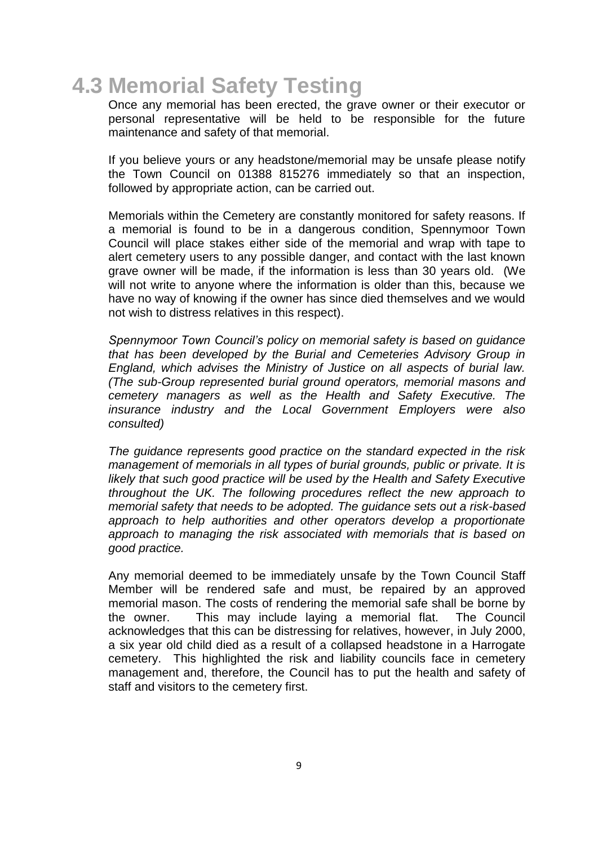## **4.3 Memorial Safety Testing**

Once any memorial has been erected, the grave owner or their executor or personal representative will be held to be responsible for the future maintenance and safety of that memorial.

If you believe yours or any headstone/memorial may be unsafe please notify the Town Council on 01388 815276 immediately so that an inspection, followed by appropriate action, can be carried out.

Memorials within the Cemetery are constantly monitored for safety reasons. If a memorial is found to be in a dangerous condition, Spennymoor Town Council will place stakes either side of the memorial and wrap with tape to alert cemetery users to any possible danger, and contact with the last known grave owner will be made, if the information is less than 30 years old. (We will not write to anyone where the information is older than this, because we have no way of knowing if the owner has since died themselves and we would not wish to distress relatives in this respect).

*Spennymoor Town Council's policy on memorial safety is based on guidance that has been developed by the Burial and Cemeteries Advisory Group in England, which advises the Ministry of Justice on all aspects of burial law. (The sub-Group represented burial ground operators, memorial masons and cemetery managers as well as the Health and Safety Executive. The insurance industry and the Local Government Employers were also consulted)*

*The guidance represents good practice on the standard expected in the risk management of memorials in all types of burial grounds, public or private. It is likely that such good practice will be used by the Health and Safety Executive throughout the UK. The following procedures reflect the new approach to memorial safety that needs to be adopted. The guidance sets out a risk-based approach to help authorities and other operators develop a proportionate approach to managing the risk associated with memorials that is based on good practice.* 

Any memorial deemed to be immediately unsafe by the Town Council Staff Member will be rendered safe and must, be repaired by an approved memorial mason. The costs of rendering the memorial safe shall be borne by the owner. This may include laying a memorial flat. The Council acknowledges that this can be distressing for relatives, however, in July 2000, a six year old child died as a result of a collapsed headstone in a Harrogate cemetery. This highlighted the risk and liability councils face in cemetery management and, therefore, the Council has to put the health and safety of staff and visitors to the cemetery first.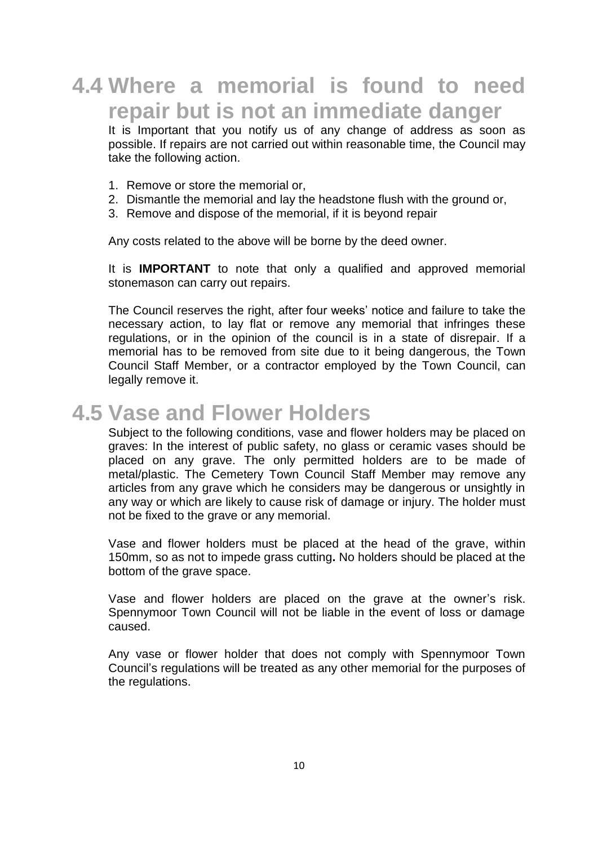## **4.4 Where a memorial is found to need repair but is not an immediate danger**

It is Important that you notify us of any change of address as soon as possible. If repairs are not carried out within reasonable time, the Council may take the following action.

- 1. Remove or store the memorial or,
- 2. Dismantle the memorial and lay the headstone flush with the ground or,
- 3. Remove and dispose of the memorial, if it is beyond repair

Any costs related to the above will be borne by the deed owner.

It is **IMPORTANT** to note that only a qualified and approved memorial stonemason can carry out repairs.

The Council reserves the right, after four weeks' notice and failure to take the necessary action, to lay flat or remove any memorial that infringes these regulations, or in the opinion of the council is in a state of disrepair. If a memorial has to be removed from site due to it being dangerous, the Town Council Staff Member, or a contractor employed by the Town Council, can legally remove it.

#### **4.5 Vase and Flower Holders**

Subject to the following conditions, vase and flower holders may be placed on graves: In the interest of public safety, no glass or ceramic vases should be placed on any grave. The only permitted holders are to be made of metal/plastic. The Cemetery Town Council Staff Member may remove any articles from any grave which he considers may be dangerous or unsightly in any way or which are likely to cause risk of damage or injury. The holder must not be fixed to the grave or any memorial.

Vase and flower holders must be placed at the head of the grave, within 150mm, so as not to impede grass cutting**.** No holders should be placed at the bottom of the grave space.

Vase and flower holders are placed on the grave at the owner's risk. Spennymoor Town Council will not be liable in the event of loss or damage caused.

Any vase or flower holder that does not comply with Spennymoor Town Council's regulations will be treated as any other memorial for the purposes of the regulations.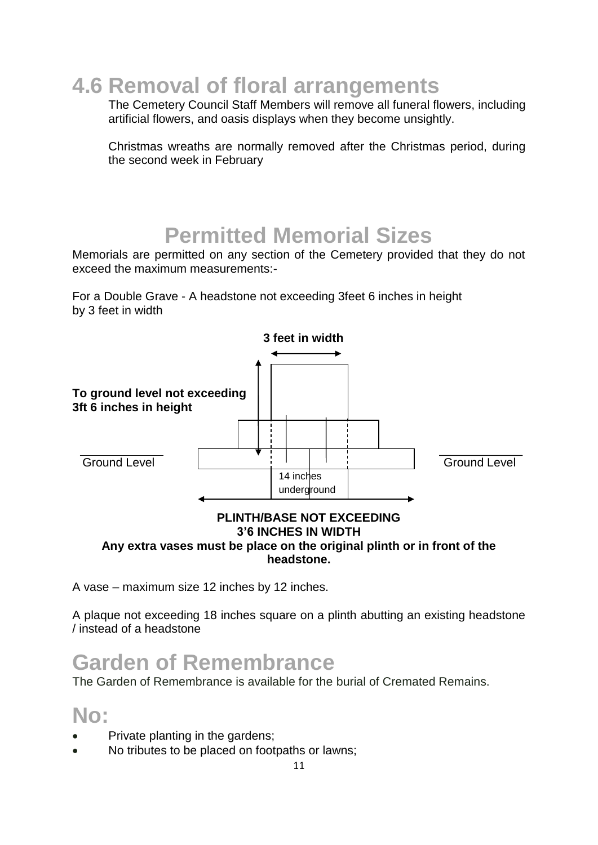**4.6 Removal of floral arrangements**

The Cemetery Council Staff Members will remove all funeral flowers, including artificial flowers, and oasis displays when they become unsightly.

Christmas wreaths are normally removed after the Christmas period, during the second week in February

## **Permitted Memorial Sizes**

Memorials are permitted on any section of the Cemetery provided that they do not exceed the maximum measurements:-

For a Double Grave - A headstone not exceeding 3feet 6 inches in height by 3 feet in width



#### **Any extra vases must be place on the original plinth or in front of the headstone.**

A vase – maximum size 12 inches by 12 inches.

A plaque not exceeding 18 inches square on a plinth abutting an existing headstone / instead of a headstone

## **Garden of Remembrance**

The Garden of Remembrance is available for the burial of Cremated Remains.

#### **No:**

- Private planting in the gardens;
- No tributes to be placed on footpaths or lawns;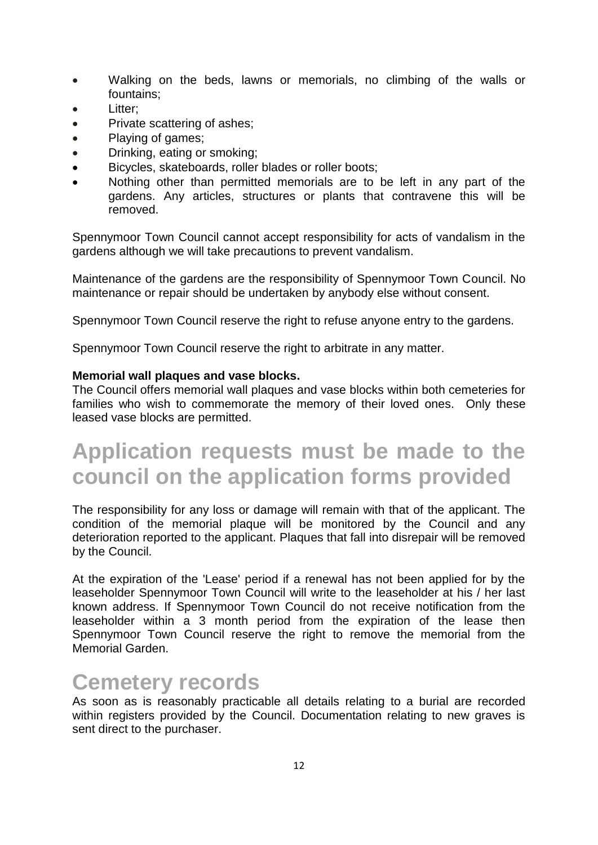- Walking on the beds, lawns or memorials, no climbing of the walls or fountains;
- Litter;
- Private scattering of ashes;
- Playing of games;
- Drinking, eating or smoking;
- Bicycles, skateboards, roller blades or roller boots;
- Nothing other than permitted memorials are to be left in any part of the gardens. Any articles, structures or plants that contravene this will be removed.

Spennymoor Town Council cannot accept responsibility for acts of vandalism in the gardens although we will take precautions to prevent vandalism.

Maintenance of the gardens are the responsibility of Spennymoor Town Council. No maintenance or repair should be undertaken by anybody else without consent.

Spennymoor Town Council reserve the right to refuse anyone entry to the gardens.

Spennymoor Town Council reserve the right to arbitrate in any matter.

#### **Memorial wall plaques and vase blocks.**

The Council offers memorial wall plaques and vase blocks within both cemeteries for families who wish to commemorate the memory of their loved ones. Only these leased vase blocks are permitted.

## **Application requests must be made to the council on the application forms provided**

The responsibility for any loss or damage will remain with that of the applicant. The condition of the memorial plaque will be monitored by the Council and any deterioration reported to the applicant. Plaques that fall into disrepair will be removed by the Council.

At the expiration of the 'Lease' period if a renewal has not been applied for by the leaseholder Spennymoor Town Council will write to the leaseholder at his / her last known address. If Spennymoor Town Council do not receive notification from the leaseholder within a 3 month period from the expiration of the lease then Spennymoor Town Council reserve the right to remove the memorial from the Memorial Garden.

#### **Cemetery records**

As soon as is reasonably practicable all details relating to a burial are recorded within registers provided by the Council. Documentation relating to new graves is sent direct to the purchaser.